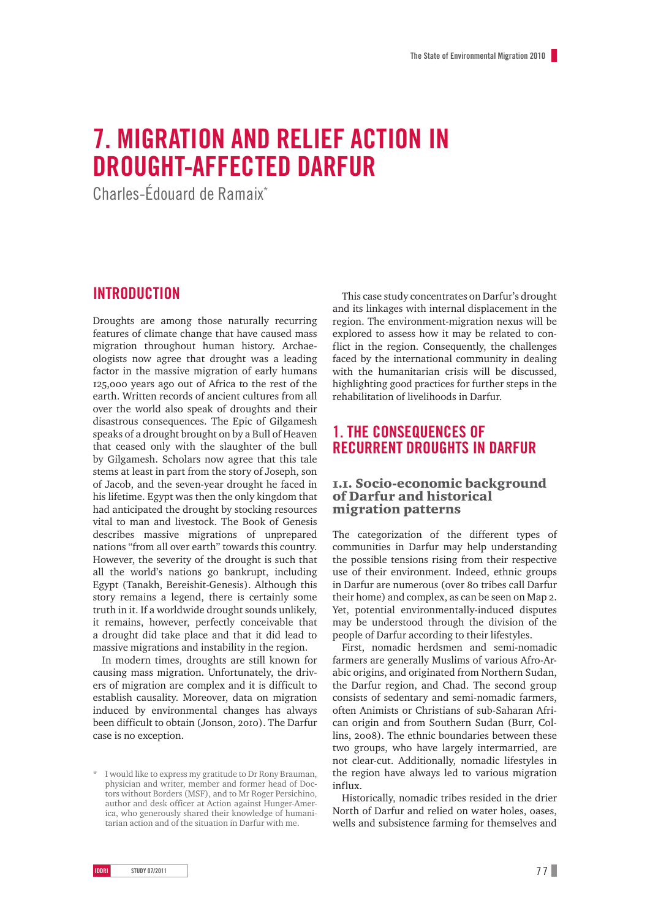# **7. Migration and relief action in drought-affected Darfur**

Charles-édouard de Ramaix\*

### **Introduction**

Droughts are among those naturally recurring features of climate change that have caused mass migration throughout human history. Archaeologists now agree that drought was a leading factor in the massive migration of early humans 125,000 years ago out of Africa to the rest of the earth. Written records of ancient cultures from all over the world also speak of droughts and their disastrous consequences. The Epic of Gilgamesh speaks of a drought brought on by a Bull of Heaven that ceased only with the slaughter of the bull by Gilgamesh. Scholars now agree that this tale stems at least in part from the story of Joseph, son of Jacob, and the seven-year drought he faced in his lifetime. Egypt was then the only kingdom that had anticipated the drought by stocking resources vital to man and livestock. The Book of Genesis describes massive migrations of unprepared nations "from all over earth" towards this country. However, the severity of the drought is such that all the world's nations go bankrupt, including Egypt (Tanakh, Bereishit-Genesis). Although this story remains a legend, there is certainly some truth in it. If a worldwide drought sounds unlikely, it remains, however, perfectly conceivable that a drought did take place and that it did lead to massive migrations and instability in the region.

In modern times, droughts are still known for causing mass migration. Unfortunately, the drivers of migration are complex and it is difficult to establish causality. Moreover, data on migration induced by environmental changes has always been difficult to obtain (Jonson, 2010). The Darfur case is no exception.

This case study concentrates on Darfur's drought and its linkages with internal displacement in the region. The environment-migration nexus will be explored to assess how it may be related to conflict in the region. Consequently, the challenges faced by the international community in dealing with the humanitarian crisis will be discussed, highlighting good practices for further steps in the rehabilitation of livelihoods in Darfur.

### **1. The Consequences of recurrent droughts in Darfur**

#### 1.1. Socio-economic background of Darfur and historical migration patterns

The categorization of the different types of communities in Darfur may help understanding the possible tensions rising from their respective use of their environment. Indeed, ethnic groups in Darfur are numerous (over 80 tribes call Darfur their home) and complex, as can be seen on Map 2. Yet, potential environmentally-induced disputes may be understood through the division of the people of Darfur according to their lifestyles.

First, nomadic herdsmen and semi-nomadic farmers are generally Muslims of various Afro-Arabic origins, and originated from Northern Sudan, the Darfur region, and Chad. The second group consists of sedentary and semi-nomadic farmers, often Animists or Christians of sub-Saharan African origin and from Southern Sudan (Burr, Collins, 2008). The ethnic boundaries between these two groups, who have largely intermarried, are not clear-cut. Additionally, nomadic lifestyles in the region have always led to various migration influx.

Historically, nomadic tribes resided in the drier North of Darfur and relied on water holes, oases, wells and subsistence farming for themselves and

<sup>\*</sup> I would like to express my gratitude to Dr Rony Brauman, physician and writer, member and former head of Doctors without Borders (MSF), and to Mr Roger Persichino, author and desk officer at Action against Hunger-America, who generously shared their knowledge of humanitarian action and of the situation in Darfur with me.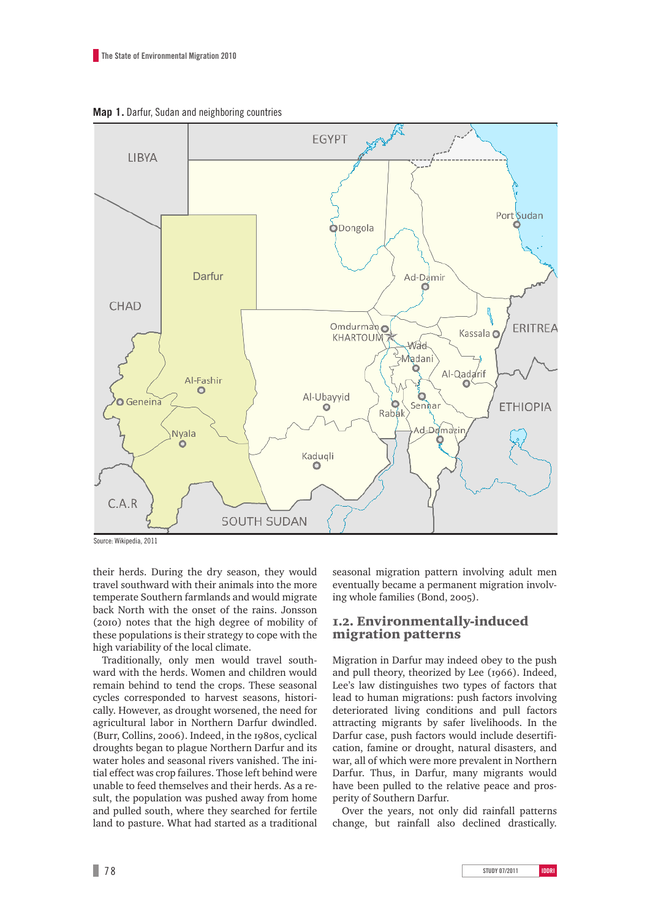**Map 1.** Darfur, Sudan and neighboring countries



Source: Wikipedia, 2011

their herds. During the dry season, they would travel southward with their animals into the more temperate Southern farmlands and would migrate back North with the onset of the rains. Jonsson (2010) notes that the high degree of mobility of these populations is their strategy to cope with the high variability of the local climate.

Traditionally, only men would travel southward with the herds. Women and children would remain behind to tend the crops. These seasonal cycles corresponded to harvest seasons, historically. However, as drought worsened, the need for agricultural labor in Northern Darfur dwindled. (Burr, Collins, 2006). Indeed, in the 1980s, cyclical droughts began to plague Northern Darfur and its water holes and seasonal rivers vanished. The initial effect was crop failures. Those left behind were unable to feed themselves and their herds. As a result, the population was pushed away from home and pulled south, where they searched for fertile land to pasture. What had started as a traditional seasonal migration pattern involving adult men eventually became a permanent migration involving whole families (Bond, 2005).

### 1.2. Environmentally-induced migration patterns

Migration in Darfur may indeed obey to the push and pull theory, theorized by Lee (1966). Indeed, Lee's law distinguishes two types of factors that lead to human migrations: push factors involving deteriorated living conditions and pull factors attracting migrants by safer livelihoods. In the Darfur case, push factors would include desertification, famine or drought, natural disasters, and war, all of which were more prevalent in Northern Darfur. Thus, in Darfur, many migrants would have been pulled to the relative peace and prosperity of Southern Darfur.

Over the years, not only did rainfall patterns change, but rainfall also declined drastically.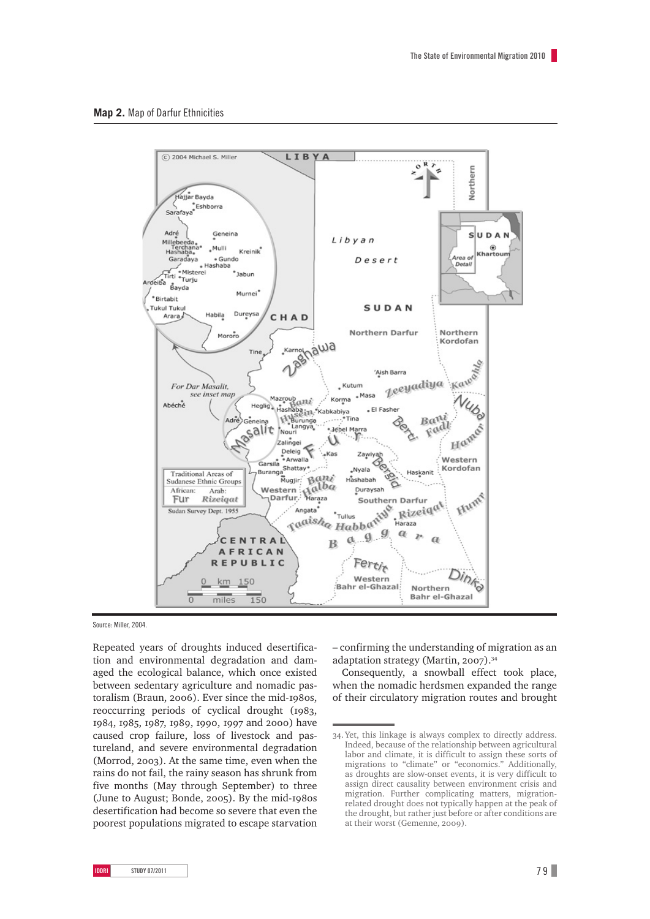

Source: Miller, 2004.

Repeated years of droughts induced desertification and environmental degradation and damaged the ecological balance, which once existed between sedentary agriculture and nomadic pastoralism (Braun, 2006). Ever since the mid-1980s, reoccurring periods of cyclical drought (1983, 1984, 1985, 1987, 1989, 1990, 1997 and 2000) have caused crop failure, loss of livestock and pastureland, and severe environmental degradation (Morrod, 2003). At the same time, even when the rains do not fail, the rainy season has shrunk from five months (May through September) to three (June to August; Bonde, 2005). By the mid-1980s desertification had become so severe that even the poorest populations migrated to escape starvation – confirming the understanding of migration as an adaptation strategy (Martin, 2007).34

Consequently, a snowball effect took place, when the nomadic herdsmen expanded the range of their circulatory migration routes and brought

<sup>34.</sup>Yet, this linkage is always complex to directly address. Indeed, because of the relationship between agricultural labor and climate, it is difficult to assign these sorts of migrations to "climate" or "economics." Additionally, as droughts are slow-onset events, it is very difficult to assign direct causality between environment crisis and migration. Further complicating matters, migrationrelated drought does not typically happen at the peak of the drought, but rather just before or after conditions are at their worst (Gemenne, 2009).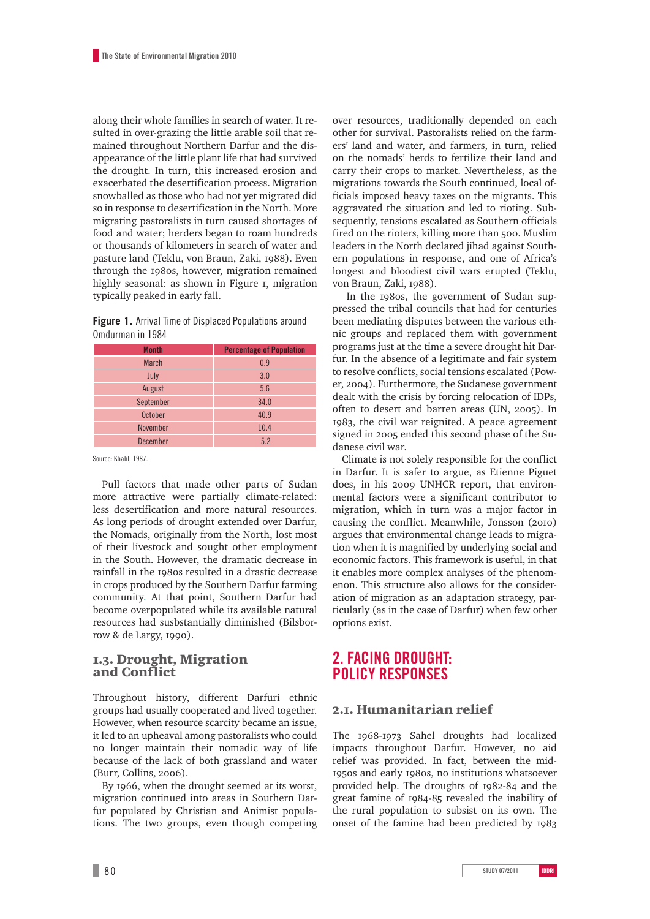along their whole families in search of water. It resulted in over-grazing the little arable soil that remained throughout Northern Darfur and the disappearance of the little plant life that had survived the drought. In turn, this increased erosion and exacerbated the desertification process. Migration snowballed as those who had not yet migrated did so in response to desertification in the North. More migrating pastoralists in turn caused shortages of food and water; herders began to roam hundreds or thousands of kilometers in search of water and pasture land (Teklu, von Braun, Zaki, 1988). Even through the 1980s, however, migration remained highly seasonal: as shown in Figure 1, migration typically peaked in early fall.

**Figure 1.** Arrival Time of Displaced Populations around Omdurman in 1984

| <b>Month</b>    | <b>Percentage of Population</b> |
|-----------------|---------------------------------|
| <b>March</b>    | 0.9                             |
| July            | 3.0                             |
| August          | 5.6                             |
| September       | 34.0                            |
| October         | 40.9                            |
| <b>November</b> | 10.4                            |
| <b>December</b> | 5.2                             |

Source: Khalil, 1987.

Pull factors that made other parts of Sudan more attractive were partially climate-related: less desertification and more natural resources. As long periods of drought extended over Darfur, the Nomads, originally from the North, lost most of their livestock and sought other employment in the South. However, the dramatic decrease in rainfall in the 1980s resulted in a drastic decrease in crops produced by the Southern Darfur farming community*.* At that point, Southern Darfur had become overpopulated while its available natural resources had susbstantially diminished (Bilsborrow & de Largy, 1990).

#### 1.3. Drought, Migration and Conflict

Throughout history, different Darfuri ethnic groups had usually cooperated and lived together. However, when resource scarcity became an issue, it led to an upheaval among pastoralists who could no longer maintain their nomadic way of life because of the lack of both grassland and water (Burr, Collins, 2006).

By 1966, when the drought seemed at its worst, migration continued into areas in Southern Darfur populated by Christian and Animist populations. The two groups, even though competing over resources, traditionally depended on each other for survival. Pastoralists relied on the farmers' land and water, and farmers, in turn, relied on the nomads' herds to fertilize their land and carry their crops to market. Nevertheless, as the migrations towards the South continued, local officials imposed heavy taxes on the migrants. This aggravated the situation and led to rioting. Subsequently, tensions escalated as Southern officials fired on the rioters, killing more than 500. Muslim leaders in the North declared jihad against Southern populations in response, and one of Africa's longest and bloodiest civil wars erupted (Teklu, von Braun, Zaki, 1988).

 In the 1980s, the government of Sudan suppressed the tribal councils that had for centuries been mediating disputes between the various ethnic groups and replaced them with government programs just at the time a severe drought hit Darfur. In the absence of a legitimate and fair system to resolve conflicts, social tensions escalated (Power, 2004). Furthermore, the Sudanese government dealt with the crisis by forcing relocation of IDPs, often to desert and barren areas (UN, 2005). In 1983, the civil war reignited. A peace agreement signed in 2005 ended this second phase of the Sudanese civil war.

Climate is not solely responsible for the conflict in Darfur. It is safer to argue, as Etienne Piguet does, in his 2009 UNHCR report, that environmental factors were a significant contributor to migration, which in turn was a major factor in causing the conflict. Meanwhile, Jonsson (2010) argues that environmental change leads to migration when it is magnified by underlying social and economic factors. This framework is useful, in that it enables more complex analyses of the phenomenon. This structure also allows for the consideration of migration as an adaptation strategy, particularly (as in the case of Darfur) when few other options exist.

## **2. Facing drought: policy responses**

### 2.1. Humanitarian relief

The 1968-1973 Sahel droughts had localized impacts throughout Darfur. However, no aid relief was provided. In fact, between the mid-1950s and early 1980s, no institutions whatsoever provided help. The droughts of 1982-84 and the great famine of 1984-85 revealed the inability of the rural population to subsist on its own. The onset of the famine had been predicted by 1983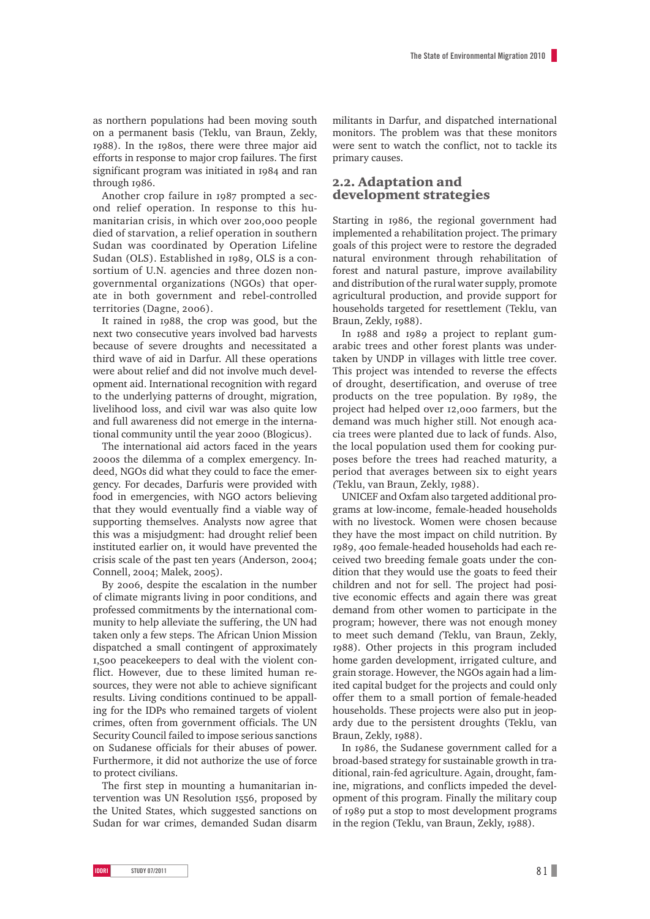as northern populations had been moving south on a permanent basis (Teklu, van Braun, Zekly, 1988). In the 1980s, there were three major aid efforts in response to major crop failures. The first significant program was initiated in 1984 and ran through 1986.

Another crop failure in 1987 prompted a second relief operation. In response to this humanitarian crisis, in which over 200,000 people died of starvation, a relief operation in southern Sudan was coordinated by Operation Lifeline Sudan (OLS). Established in 1989, OLS is a consortium of U.N. agencies and three dozen nongovernmental organizations (NGOs) that operate in both government and rebel-controlled territories (Dagne, 2006).

It rained in 1988, the crop was good, but the next two consecutive years involved bad harvests because of severe droughts and necessitated a third wave of aid in Darfur. All these operations were about relief and did not involve much development aid. International recognition with regard to the underlying patterns of drought, migration, livelihood loss, and civil war was also quite low and full awareness did not emerge in the international community until the year 2000 (Blogicus).

The international aid actors faced in the years 2000s the dilemma of a complex emergency. Indeed, NGOs did what they could to face the emergency. For decades, Darfuris were provided with food in emergencies, with NGO actors believing that they would eventually find a viable way of supporting themselves. Analysts now agree that this was a misjudgment: had drought relief been instituted earlier on, it would have prevented the crisis scale of the past ten years (Anderson, 2004; Connell, 2004; Malek, 2005).

By 2006, despite the escalation in the number of climate migrants living in poor conditions, and professed commitments by the international community to help alleviate the suffering, the UN had taken only a few steps. The African Union Mission dispatched a small contingent of approximately 1,500 peacekeepers to deal with the violent conflict. However, due to these limited human resources, they were not able to achieve significant results. Living conditions continued to be appalling for the IDPs who remained targets of violent crimes, often from government officials. The UN Security Council failed to impose serious sanctions on Sudanese officials for their abuses of power. Furthermore, it did not authorize the use of force to protect civilians.

The first step in mounting a humanitarian intervention was UN Resolution 1556, proposed by the United States, which suggested sanctions on Sudan for war crimes, demanded Sudan disarm militants in Darfur, and dispatched international monitors. The problem was that these monitors were sent to watch the conflict, not to tackle its primary causes.

#### 2.2. Adaptation and development strategies

Starting in 1986, the regional government had implemented a rehabilitation project. The primary goals of this project were to restore the degraded natural environment through rehabilitation of forest and natural pasture, improve availability and distribution of the rural water supply, promote agricultural production, and provide support for households targeted for resettlement (Teklu, van Braun, Zekly, 1988).

In 1988 and 1989 a project to replant gumarabic trees and other forest plants was undertaken by UNDP in villages with little tree cover. This project was intended to reverse the effects of drought, desertification, and overuse of tree products on the tree population. By 1989, the project had helped over 12,000 farmers, but the demand was much higher still. Not enough acacia trees were planted due to lack of funds. Also, the local population used them for cooking purposes before the trees had reached maturity, a period that averages between six to eight years *(*Teklu, van Braun, Zekly, 1988).

UNICEF and Oxfam also targeted additional programs at low-income, female-headed households with no livestock. Women were chosen because they have the most impact on child nutrition. By 1989, 400 female-headed households had each received two breeding female goats under the condition that they would use the goats to feed their children and not for sell. The project had positive economic effects and again there was great demand from other women to participate in the program; however, there was not enough money to meet such demand *(*Teklu, van Braun, Zekly, 1988). Other projects in this program included home garden development, irrigated culture, and grain storage. However, the NGOs again had a limited capital budget for the projects and could only offer them to a small portion of female-headed households. These projects were also put in jeopardy due to the persistent droughts (Teklu, van Braun, Zekly, 1988).

In 1986, the Sudanese government called for a broad-based strategy for sustainable growth in traditional, rain-fed agriculture. Again, drought, famine, migrations, and conflicts impeded the development of this program. Finally the military coup of 1989 put a stop to most development programs in the region (Teklu, van Braun, Zekly, 1988).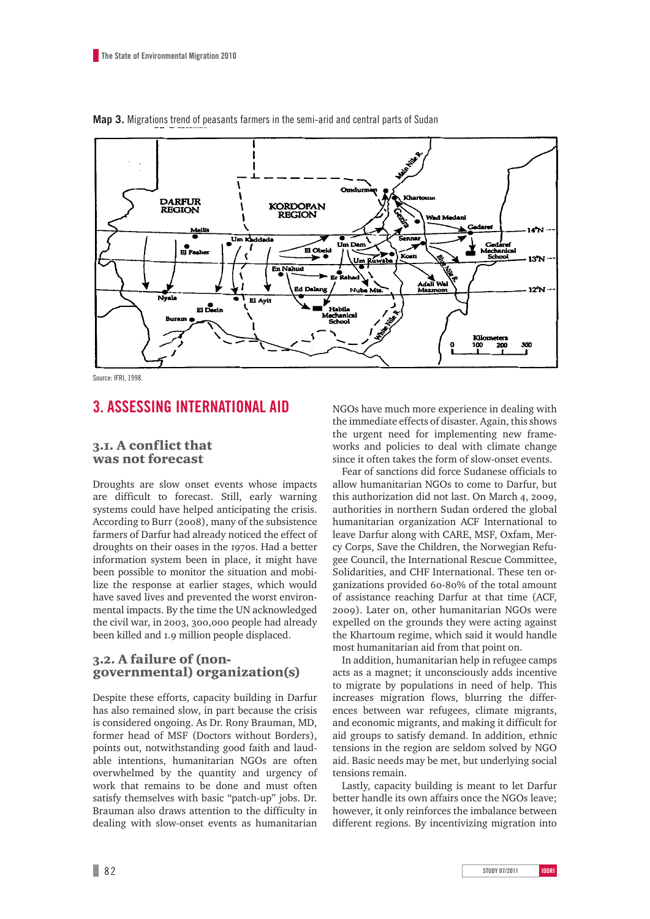

**Map 3.** Migrations trend of peasants farmers in the semi-arid and central parts of Sudan

Source: IFRI, 1998.

### **3. Assessing international aid**

#### 3.1. A conflict that was not forecast

Droughts are slow onset events whose impacts are difficult to forecast. Still, early warning systems could have helped anticipating the crisis. According to Burr (2008), many of the subsistence farmers of Darfur had already noticed the effect of droughts on their oases in the 1970s. Had a better information system been in place, it might have been possible to monitor the situation and mobilize the response at earlier stages, which would have saved lives and prevented the worst environmental impacts. By the time the UN acknowledged the civil war, in 2003, 300,000 people had already been killed and 1.9 million people displaced.

#### 3.2. A failure of (nongovernmental) organization(s)

Despite these efforts, capacity building in Darfur has also remained slow, in part because the crisis is considered ongoing. As Dr. Rony Brauman, MD, former head of MSF (Doctors without Borders), points out, notwithstanding good faith and laudable intentions, humanitarian NGOs are often overwhelmed by the quantity and urgency of work that remains to be done and must often satisfy themselves with basic "patch-up" jobs. Dr. Brauman also draws attention to the difficulty in dealing with slow-onset events as humanitarian NGOs have much more experience in dealing with the immediate effects of disaster. Again, this shows the urgent need for implementing new frameworks and policies to deal with climate change since it often takes the form of slow-onset events.

Fear of sanctions did force Sudanese officials to allow humanitarian NGOs to come to Darfur, but this authorization did not last. On March 4, 2009, authorities in northern Sudan ordered the global humanitarian organization ACF International to leave Darfur along with CARE, MSF, Oxfam, Mercy Corps, Save the Children, the Norwegian Refugee Council, the International Rescue Committee, Solidarities, and CHF International. These ten organizations provided 60-80% of the total amount of assistance reaching Darfur at that time (ACF, 2009). Later on, other humanitarian NGOs were expelled on the grounds they were acting against the Khartoum regime, which said it would handle most humanitarian aid from that point on.

In addition, humanitarian help in refugee camps acts as a magnet; it unconsciously adds incentive to migrate by populations in need of help. This increases migration flows, blurring the differences between war refugees, climate migrants, and economic migrants, and making it difficult for aid groups to satisfy demand. In addition, ethnic tensions in the region are seldom solved by NGO aid. Basic needs may be met, but underlying social tensions remain.

Lastly, capacity building is meant to let Darfur better handle its own affairs once the NGOs leave; however, it only reinforces the imbalance between different regions. By incentivizing migration into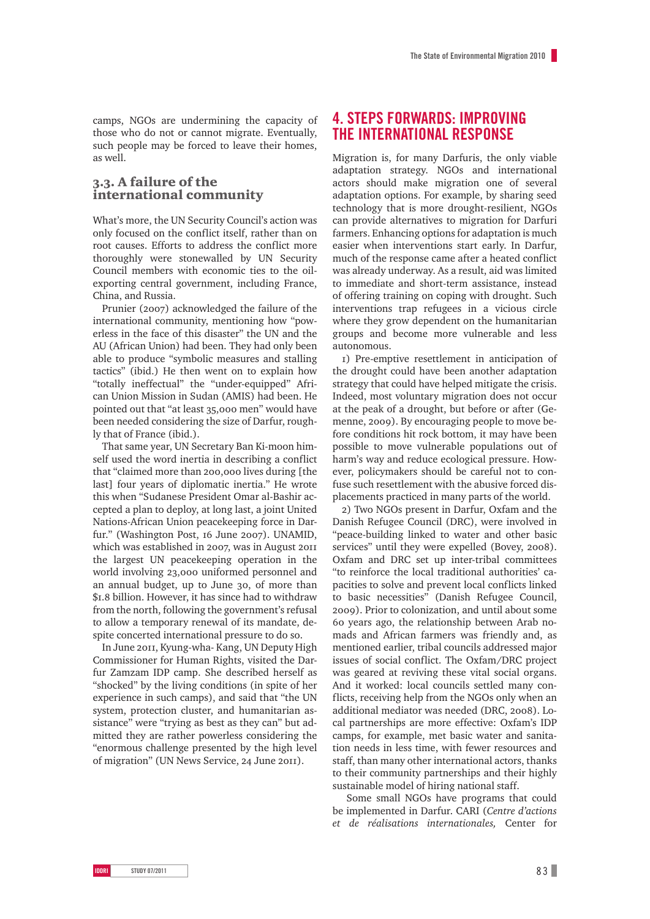camps, NGOs are undermining the capacity of those who do not or cannot migrate. Eventually, such people may be forced to leave their homes, as well.

### 3.3. A failure of the international community

What's more, the UN Security Council's action was only focused on the conflict itself, rather than on root causes. Efforts to address the conflict more thoroughly were stonewalled by UN Security Council members with economic ties to the oilexporting central government, including France, China, and Russia.

Prunier (2007) acknowledged the failure of the international community, mentioning how "powerless in the face of this disaster" the UN and the AU (African Union) had been. They had only been able to produce "symbolic measures and stalling tactics" (ibid.) He then went on to explain how "totally ineffectual" the "under-equipped" African Union Mission in Sudan (AMIS) had been. He pointed out that "at least 35,000 men" would have been needed considering the size of Darfur, roughly that of France (ibid.).

That same year, UN Secretary Ban Ki-moon himself used the word inertia in describing a conflict that "claimed more than 200,000 lives during [the last] four years of diplomatic inertia." He wrote this when "Sudanese President Omar al-Bashir accepted a plan to deploy, at long last, a joint United Nations-African Union peacekeeping force in Darfur." (Washington Post, 16 June 2007). UNAMID, which was established in 2007, was in August 2011 the largest UN peacekeeping operation in the world involving 23,000 uniformed personnel and an annual budget, up to June 30, of more than \$1.8 billion. However, it has since had to withdraw from the north, following the government's refusal to allow a temporary renewal of its mandate, despite concerted international pressure to do so.

In June 2011, Kyung-wha- Kang, UN Deputy High Commissioner for Human Rights, visited the Darfur Zamzam IDP camp. She described herself as "shocked" by the living conditions (in spite of her experience in such camps), and said that "the UN system, protection cluster, and humanitarian assistance" were "trying as best as they can" but admitted they are rather powerless considering the "enormous challenge presented by the high level of migration" (UN News Service, 24 June 2011).

### **4. Steps forwards: improving the international response**

Migration is, for many Darfuris, the only viable adaptation strategy. NGOs and international actors should make migration one of several adaptation options. For example, by sharing seed technology that is more drought-resilient, NGOs can provide alternatives to migration for Darfuri farmers. Enhancing options for adaptation is much easier when interventions start early. In Darfur, much of the response came after a heated conflict was already underway. As a result, aid was limited to immediate and short-term assistance, instead of offering training on coping with drought. Such interventions trap refugees in a vicious circle where they grow dependent on the humanitarian groups and become more vulnerable and less autonomous.

1) Pre-emptive resettlement in anticipation of the drought could have been another adaptation strategy that could have helped mitigate the crisis. Indeed, most voluntary migration does not occur at the peak of a drought, but before or after (Gemenne, 2009). By encouraging people to move before conditions hit rock bottom, it may have been possible to move vulnerable populations out of harm's way and reduce ecological pressure. However, policymakers should be careful not to confuse such resettlement with the abusive forced displacements practiced in many parts of the world.

2) Two NGOs present in Darfur, Oxfam and the Danish Refugee Council (DRC), were involved in "peace-building linked to water and other basic services" until they were expelled (Bovey, 2008). Oxfam and DRC set up inter-tribal committees "to reinforce the local traditional authorities' capacities to solve and prevent local conflicts linked to basic necessities" (Danish Refugee Council, 2009). Prior to colonization, and until about some 60 years ago, the relationship between Arab nomads and African farmers was friendly and, as mentioned earlier, tribal councils addressed major issues of social conflict. The Oxfam/DRC project was geared at reviving these vital social organs. And it worked: local councils settled many conflicts, receiving help from the NGOs only when an additional mediator was needed (DRC, 2008). Local partnerships are more effective: Oxfam's IDP camps, for example, met basic water and sanitation needs in less time, with fewer resources and staff, than many other international actors, thanks to their community partnerships and their highly sustainable model of hiring national staff.

Some small NGOs have programs that could be implemented in Darfur. CARI (*Centre d'actions et de réalisations internationales,* Center for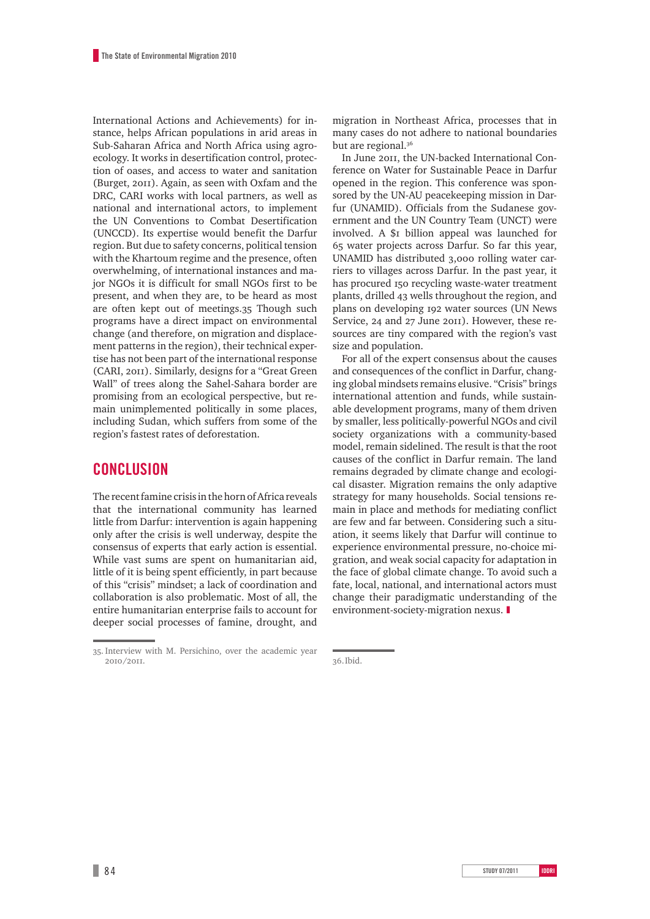International Actions and Achievements) for instance, helps African populations in arid areas in Sub-Saharan Africa and North Africa using agroecology. It works in desertification control, protection of oases, and access to water and sanitation (Burget, 2011). Again, as seen with Oxfam and the DRC, CARI works with local partners, as well as national and international actors, to implement the UN Conventions to Combat Desertification (UNCCD). Its expertise would benefit the Darfur region. But due to safety concerns, political tension with the Khartoum regime and the presence, often overwhelming, of international instances and major NGOs it is difficult for small NGOs first to be present, and when they are, to be heard as most are often kept out of meetings.35 Though such programs have a direct impact on environmental change (and therefore, on migration and displacement patterns in the region), their technical expertise has not been part of the international response (CARI, 2011). Similarly, designs for a "Great Green Wall" of trees along the Sahel-Sahara border are promising from an ecological perspective, but remain unimplemented politically in some places, including Sudan, which suffers from some of the region's fastest rates of deforestation.

### **Conclusion**

The recent famine crisis in the horn of Africa reveals that the international community has learned little from Darfur: intervention is again happening only after the crisis is well underway, despite the consensus of experts that early action is essential. While vast sums are spent on humanitarian aid, little of it is being spent efficiently, in part because of this "crisis" mindset; a lack of coordination and collaboration is also problematic. Most of all, the entire humanitarian enterprise fails to account for deeper social processes of famine, drought, and migration in Northeast Africa, processes that in many cases do not adhere to national boundaries but are regional.<sup>36</sup>

In June 2011, the UN-backed International Conference on Water for Sustainable Peace in Darfur opened in the region. This conference was sponsored by the UN-AU peacekeeping mission in Darfur (UNAMID). Officials from the Sudanese government and the UN Country Team (UNCT) were involved. A \$1 billion appeal was launched for 65 water projects across Darfur. So far this year, UNAMID has distributed 3,000 rolling water carriers to villages across Darfur. In the past year, it has procured 150 recycling waste-water treatment plants, drilled 43 wells throughout the region, and plans on developing 192 water sources (UN News Service, 24 and 27 June 2011). However, these resources are tiny compared with the region's vast size and population.

For all of the expert consensus about the causes and consequences of the conflict in Darfur, changing global mindsets remains elusive. "Crisis" brings international attention and funds, while sustainable development programs, many of them driven by smaller, less politically-powerful NGOs and civil society organizations with a community-based model, remain sidelined. The result is that the root causes of the conflict in Darfur remain. The land remains degraded by climate change and ecological disaster. Migration remains the only adaptive strategy for many households. Social tensions remain in place and methods for mediating conflict are few and far between. Considering such a situation, it seems likely that Darfur will continue to experience environmental pressure, no-choice migration, and weak social capacity for adaptation in the face of global climate change. To avoid such a fate, local, national, and international actors must change their paradigmatic understanding of the environment-society-migration nexus.  $\blacksquare$ 

<sup>35.</sup> Interview with M. Persichino, over the academic year 2010/2011.

<sup>36.</sup>Ibid.